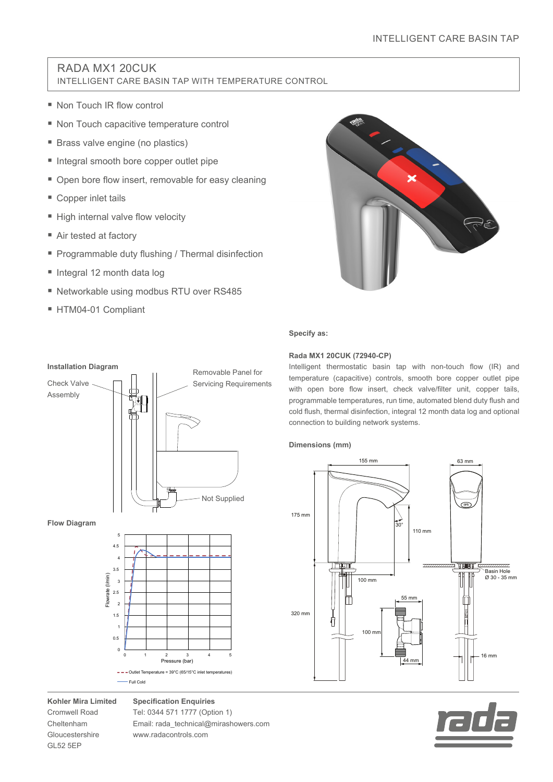# RADA MX1 20CUK INTELLIGENT CARE BASIN TAP WITH TEMPERATURE CONTROL

- Non Touch IR flow control
- Non Touch capacitive temperature control
- **Brass valve engine (no plastics)**
- Integral smooth bore copper outlet pipe
- Open bore flow insert, removable for easy cleaning
- Copper inlet tails
- High internal valve flow velocity
- Air tested at factory
- **Programmable duty flushing / Thermal disinfection**
- Integral 12 month data log
- Networkable using modbus RTU over RS485
- HTM04-01 Compliant



### **Specify as:**

## **Rada MX1 20CUK (72940-CP)**

Intelligent thermostatic basin tap with non-touch flow (IR) and temperature (capacitive) controls, smooth bore copper outlet pipe with open bore flow insert, check valve/filter unit, copper tails, programmable temperatures, run time, automated blend duty flush and cold flush, thermal disinfection, integral 12 month data log and optional connection to building network systems.

## **Dimensions (mm)**





# **Flow Diagram Installation Diagram** Check Valve Assembly Flowrate (l/min) 1 1.5 2 2.5 3 3.5 4 4.5 5 Removable Panel for Servicing Requirements Not Supplied



**Kohler Mira Limited** Cromwell Road Cheltenham Gloucestershire GL52 5EP

**Specification Enquiries** Tel: 0344 571 1777 (Option 1) Email: rada\_technical@mirashowers.com www.radacontrols.com